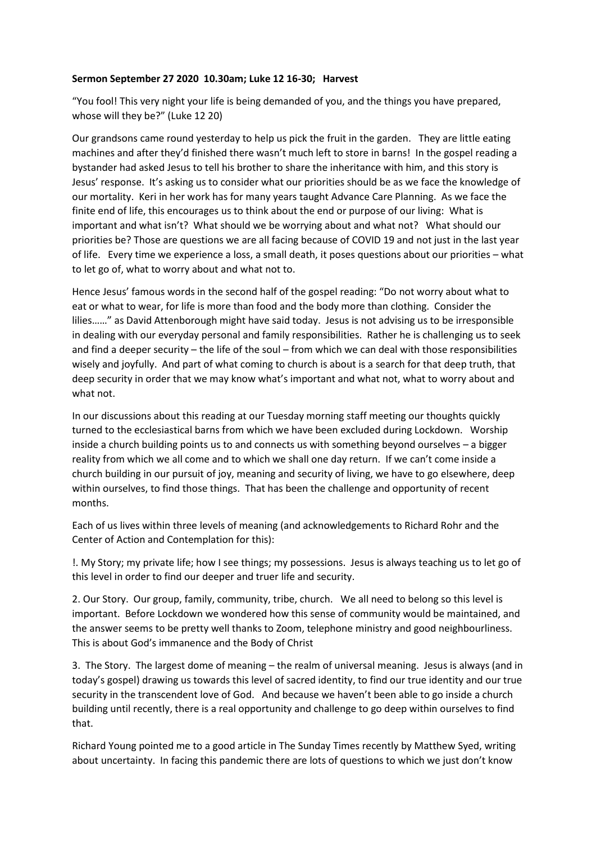## **Sermon September 27 2020 10.30am; Luke 12 16-30; Harvest**

"You fool! This very night your life is being demanded of you, and the things you have prepared, whose will they be?" (Luke 12 20)

Our grandsons came round yesterday to help us pick the fruit in the garden. They are little eating machines and after they'd finished there wasn't much left to store in barns! In the gospel reading a bystander had asked Jesus to tell his brother to share the inheritance with him, and this story is Jesus' response. It's asking us to consider what our priorities should be as we face the knowledge of our mortality. Keri in her work has for many years taught Advance Care Planning. As we face the finite end of life, this encourages us to think about the end or purpose of our living: What is important and what isn't? What should we be worrying about and what not? What should our priorities be? Those are questions we are all facing because of COVID 19 and not just in the last year of life. Every time we experience a loss, a small death, it poses questions about our priorities – what to let go of, what to worry about and what not to.

Hence Jesus' famous words in the second half of the gospel reading: "Do not worry about what to eat or what to wear, for life is more than food and the body more than clothing. Consider the lilies……" as David Attenborough might have said today. Jesus is not advising us to be irresponsible in dealing with our everyday personal and family responsibilities. Rather he is challenging us to seek and find a deeper security – the life of the soul – from which we can deal with those responsibilities wisely and joyfully. And part of what coming to church is about is a search for that deep truth, that deep security in order that we may know what's important and what not, what to worry about and what not.

In our discussions about this reading at our Tuesday morning staff meeting our thoughts quickly turned to the ecclesiastical barns from which we have been excluded during Lockdown. Worship inside a church building points us to and connects us with something beyond ourselves – a bigger reality from which we all come and to which we shall one day return. If we can't come inside a church building in our pursuit of joy, meaning and security of living, we have to go elsewhere, deep within ourselves, to find those things. That has been the challenge and opportunity of recent months.

Each of us lives within three levels of meaning (and acknowledgements to Richard Rohr and the Center of Action and Contemplation for this):

!. My Story; my private life; how I see things; my possessions. Jesus is always teaching us to let go of this level in order to find our deeper and truer life and security.

2. Our Story. Our group, family, community, tribe, church. We all need to belong so this level is important. Before Lockdown we wondered how this sense of community would be maintained, and the answer seems to be pretty well thanks to Zoom, telephone ministry and good neighbourliness. This is about God's immanence and the Body of Christ

3. The Story. The largest dome of meaning – the realm of universal meaning. Jesus is always (and in today's gospel) drawing us towards this level of sacred identity, to find our true identity and our true security in the transcendent love of God. And because we haven't been able to go inside a church building until recently, there is a real opportunity and challenge to go deep within ourselves to find that.

Richard Young pointed me to a good article in The Sunday Times recently by Matthew Syed, writing about uncertainty. In facing this pandemic there are lots of questions to which we just don't know